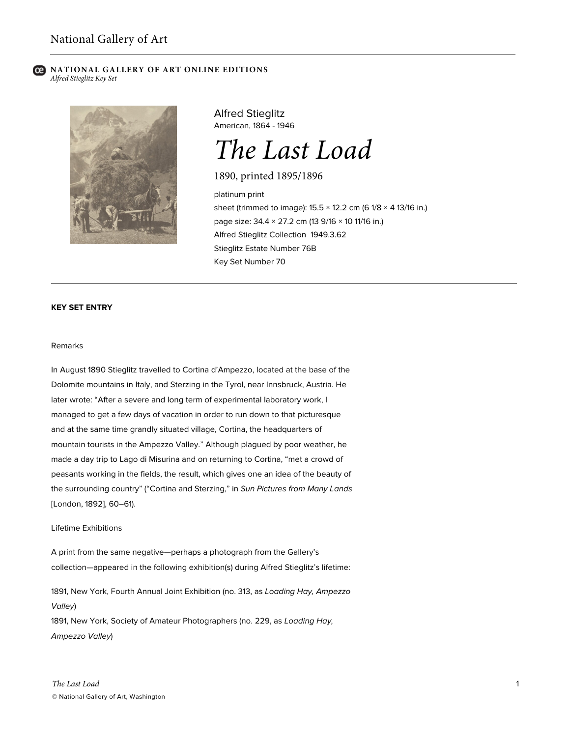#### **NATIONAL GALLERY OF ART ONLINE EDITIONS** *Alfred Stieglitz Key Set*



Alfred Stieglitz American, 1864 - 1946

# *The Last Load*

1890, printed 1895/1896

platinum print sheet (trimmed to image):  $15.5 \times 12.2$  cm (6  $1/8 \times 4$  13/16 in.) page size: 34.4 × 27.2 cm (13 9/16 × 10 11/16 in.) Alfred Stieglitz Collection 1949.3.62 Stieglitz Estate Number 76B Key Set Number 70

## **KEY SET ENTRY**

#### Remarks

In August 1890 Stieglitz travelled to Cortina d'Ampezzo, located at the base of the Dolomite mountains in Italy, and Sterzing in the Tyrol, near Innsbruck, Austria. He later wrote: "After a severe and long term of experimental laboratory work, I managed to get a few days of vacation in order to run down to that picturesque and at the same time grandly situated village, Cortina, the headquarters of mountain tourists in the Ampezzo Valley." Although plagued by poor weather, he made a day trip to Lago di Misurina and on returning to Cortina, "met a crowd of peasants working in the fields, the result, which gives one an idea of the beauty of the surrounding country" ("Cortina and Sterzing," in *Sun Pictures from Many Lands* [London, 1892], 60–61).

#### Lifetime Exhibitions

A print from the same negative—perhaps a photograph from the Gallery's collection—appeared in the following exhibition(s) during Alfred Stieglitz's lifetime:

1891, New York, Fourth Annual Joint Exhibition (no. 313, as *Loading Hay, Ampezzo Valley*)

1891, New York, Society of Amateur Photographers (no. 229, as *Loading Hay, Ampezzo Valley*)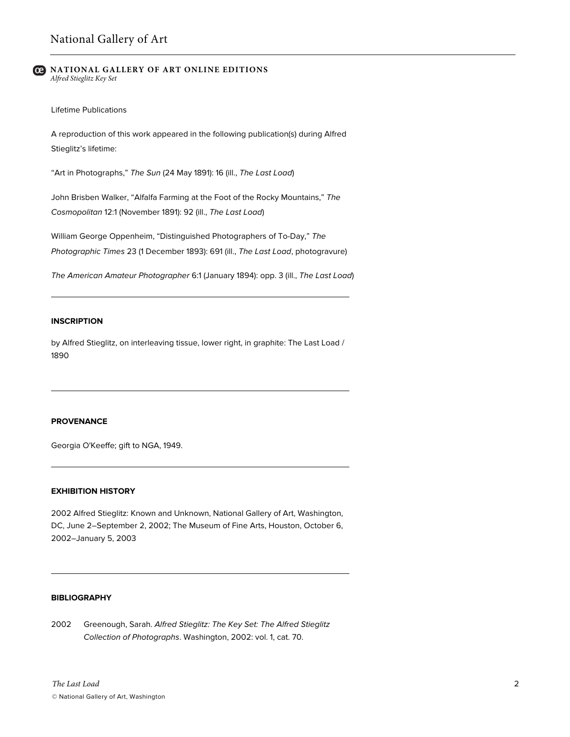#### **NATIONAL GALLERY OF ART ONLINE EDITIONS** *Alfred Stieglitz Key Set*

Lifetime Publications

A reproduction of this work appeared in the following publication(s) during Alfred Stieglitz's lifetime:

"Art in Photographs," *The Sun* (24 May 1891): 16 (ill., *The Last Load*)

John Brisben Walker, "Alfalfa Farming at the Foot of the Rocky Mountains," *The Cosmopolitan* 12:1 (November 1891): 92 (ill., *The Last Load*)

William George Oppenheim, "Distinguished Photographers of To-Day," *The Photographic Times* 23 (1 December 1893): 691 (ill., *The Last Load*, photogravure)

*The American Amateur Photographer* 6:1 (January 1894): opp. 3 (ill., *The Last Load*)

### **INSCRIPTION**

by Alfred Stieglitz, on interleaving tissue, lower right, in graphite: The Last Load / 1890

## **PROVENANCE**

Georgia O'Keeffe; gift to NGA, 1949.

## **EXHIBITION HISTORY**

2002 Alfred Stieglitz: Known and Unknown, National Gallery of Art, Washington, DC, June 2–September 2, 2002; The Museum of Fine Arts, Houston, October 6, 2002–January 5, 2003

## **BIBLIOGRAPHY**

2002 Greenough, Sarah. *Alfred Stieglitz: The Key Set: The Alfred Stieglitz Collection of Photographs*. Washington, 2002: vol. 1, cat. 70.